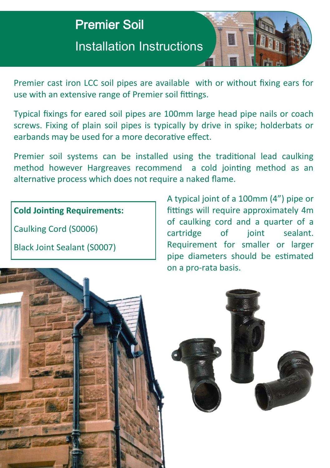

Premier cast iron LCC soil pipes are available with or without fixing ears for use with an extensive range of Premier soil fittings.

Typical fixings for eared soil pipes are 100mm large head pipe nails or coach screws. Fixing of plain soil pipes is typically by drive in spike; holderbats or earbands may be used for a more decorative effect.

Premier soil systems can be installed using the traditional lead caulking method however Hargreaves recommend a cold jointing method as an alternative process which does not require a naked flame.

## **Cold Jointing Requirements:**

Caulking Cord (S0006)

Black Joint Sealant (S0007)

A typical joint of a 100mm (4") pipe or fittings will require approximately 4m of caulking cord and a quarter of a cartridge of joint sealant. Requirement for smaller or larger pipe diameters should be estimated on a pro-rata basis.